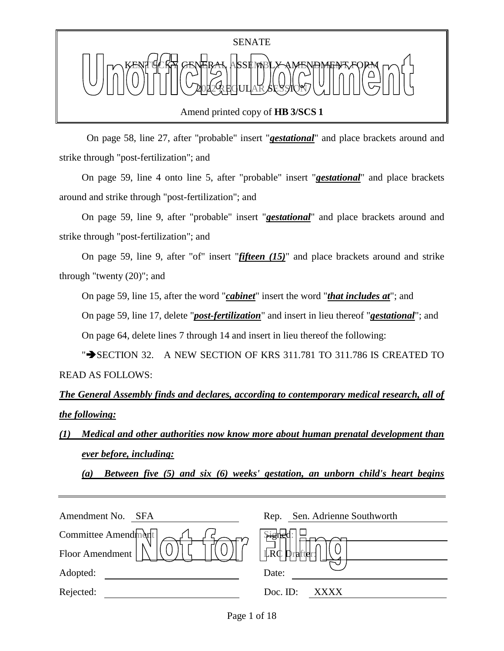

Amend printed copy of **HB 3/SCS 1**

 On page 58, line 27, after "probable" insert "*gestational*" and place brackets around and strike through "post-fertilization"; and

On page 59, line 4 onto line 5, after "probable" insert "*gestational*" and place brackets around and strike through "post-fertilization"; and

On page 59, line 9, after "probable" insert "*gestational*" and place brackets around and strike through "post-fertilization"; and

On page 59, line 9, after "of" insert "*fifteen (15)*" and place brackets around and strike through "twenty (20)"; and

On page 59, line 15, after the word "*cabinet*" insert the word "*that includes at*"; and

On page 59, line 17, delete "*post-fertilization*" and insert in lieu thereof "*gestational*"; and

On page 64, delete lines 7 through 14 and insert in lieu thereof the following:

" $\rightarrow$  SECTION 32. A NEW SECTION OF KRS 311.781 TO 311.786 IS CREATED TO READ AS FOLLOWS:

*The General Assembly finds and declares, according to contemporary medical research, all of the following:*

*(1) Medical and other authorities now know more about human prenatal development than ever before, including:*

*(a) Between five (5) and six (6) weeks' gestation, an unborn child's heart begins* 

| Amendment No.<br>SFA | Sen. Adrienne Southworth<br>Rep. |
|----------------------|----------------------------------|
| Committee Amendment  |                                  |
| Floor Amendment      | LRC Drafter!                     |
| Adopted:             | Date:                            |
| Rejected:            | Doc. ID:<br>XXXX                 |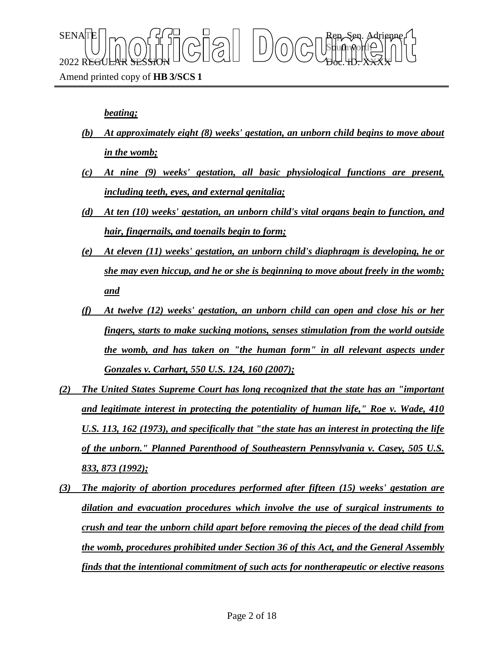

Amend printed copy of **HB 3/SCS 1**

#### *beating;*

- *(b) At approximately eight (8) weeks' gestation, an unborn child begins to move about in the womb;*
- *(c) At nine (9) weeks' gestation, all basic physiological functions are present, including teeth, eyes, and external genitalia;*
- *(d) At ten (10) weeks' gestation, an unborn child's vital organs begin to function, and hair, fingernails, and toenails begin to form;*
- *(e) At eleven (11) weeks' gestation, an unborn child's diaphragm is developing, he or she may even hiccup, and he or she is beginning to move about freely in the womb; and*
- *(f) At twelve (12) weeks' gestation, an unborn child can open and close his or her fingers, starts to make sucking motions, senses stimulation from the world outside the womb, and has taken on "the human form" in all relevant aspects under Gonzales v. Carhart, 550 U.S. 124, 160 (2007);*
- *(2) The United States Supreme Court has long recognized that the state has an "important and legitimate interest in protecting the potentiality of human life," Roe v. Wade, 410 U.S. 113, 162 (1973), and specifically that "the state has an interest in protecting the life of the unborn." Planned Parenthood of Southeastern Pennsylvania v. Casey, 505 U.S. 833, 873 (1992);*
- *(3) The majority of abortion procedures performed after fifteen (15) weeks' gestation are dilation and evacuation procedures which involve the use of surgical instruments to crush and tear the unborn child apart before removing the pieces of the dead child from the womb, procedures prohibited under Section 36 of this Act, and the General Assembly finds that the intentional commitment of such acts for nontherapeutic or elective reasons*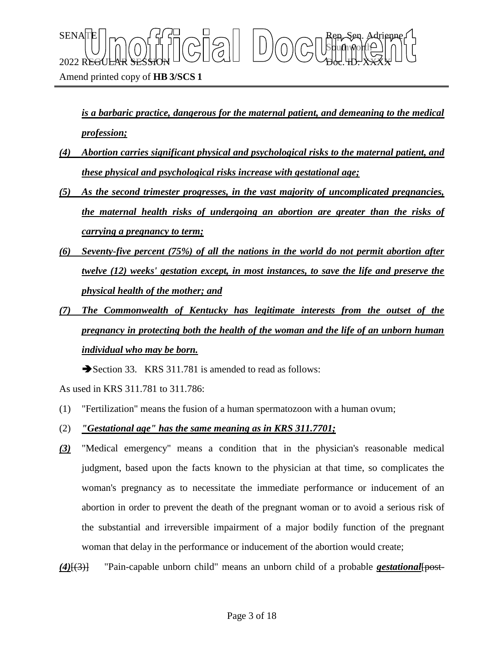$\text{SENA}[\mathbb{E} | \mid_{\mathsf{T}} \frown \bigcap_{\mathsf{S}} \mathsf{G}] \frown \bigcup_{\mathsf{S}} \bigcap_{\mathsf{S}} \bigcap_{\mathsf{S}} \bigcap_{\mathsf{S}} \bigcap_{\mathsf{S}} \bigcap_{\mathsf{S}} \mathsf{G} \mathsf{G} \bigcap_{\mathsf{S}} \mathsf{G} \mathsf{G} \bigcap_{\mathsf{S}} \mathsf{G} \bigcap_{\mathsf{S}} \mathsf{G} \bigcap_{\mathsf{S}} \mathsf{G} \bigcap_{\mathsf{S}} \mathsf{G} \bigcap_{\mathsf{S}} \mathsf{G} \big$ Sbufhworth  $2022$  REGULAR SESSION DOLLOURED DO OBGLED. XXXX

*is a barbaric practice, dangerous for the maternal patient, and demeaning to the medical profession;*

- *(4) Abortion carries significant physical and psychological risks to the maternal patient, and these physical and psychological risks increase with gestational age;*
- *(5) As the second trimester progresses, in the vast majority of uncomplicated pregnancies, the maternal health risks of undergoing an abortion are greater than the risks of carrying a pregnancy to term;*
- *(6) Seventy-five percent (75%) of all the nations in the world do not permit abortion after twelve (12) weeks' gestation except, in most instances, to save the life and preserve the physical health of the mother; and*
- *(7) The Commonwealth of Kentucky has legitimate interests from the outset of the pregnancy in protecting both the health of the woman and the life of an unborn human individual who may be born.*

Section 33. KRS 311.781 is amended to read as follows:

As used in KRS 311.781 to 311.786:

- (1) "Fertilization" means the fusion of a human spermatozoon with a human ovum;
- (2) *"Gestational age" has the same meaning as in KRS 311.7701;*
- *(3)* "Medical emergency" means a condition that in the physician's reasonable medical judgment, based upon the facts known to the physician at that time, so complicates the woman's pregnancy as to necessitate the immediate performance or inducement of an abortion in order to prevent the death of the pregnant woman or to avoid a serious risk of the substantial and irreversible impairment of a major bodily function of the pregnant woman that delay in the performance or inducement of the abortion would create;

*(4)*[(3)] "Pain-capable unborn child" means an unborn child of a probable *gestational*[post-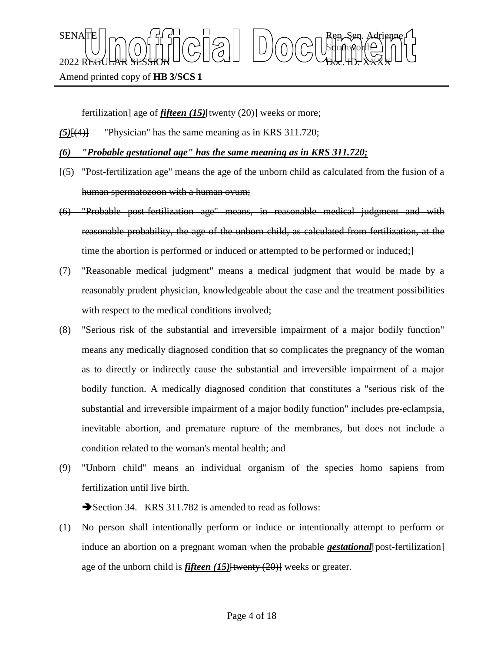$\text{SENA}[\mathbb{E} | \mid_{\mathsf{T}} \frown \bigcap_{\mathsf{S}} \mathsf{G}] \frown \bigcup_{\mathsf{S}} \bigcap_{\mathsf{S}} \bigcap_{\mathsf{S}} \bigcap_{\mathsf{S}} \bigcap_{\mathsf{S}} \bigcap_{\mathsf{S}} \mathsf{G} \mathsf{G} \bigcap_{\mathsf{S}} \mathsf{G} \mathsf{G} \bigcap_{\mathsf{S}} \mathsf{G} \bigcap_{\mathsf{S}} \mathsf{G} \bigcap_{\mathsf{S}} \mathsf{G} \bigcap_{\mathsf{S}} \mathsf{G} \bigcap_{\mathsf{S}} \mathsf{G} \big$ Sbufhworth  $2022$  REGULAR SESSION DOLLOURED DO OBGLED. XXXX

Amend printed copy of **HB 3/SCS 1**

fertilization] age of *fifteen* (15)<del>[twenty (20)]</del> weeks or more;

- *(5)*[(4)] "Physician" has the same meaning as in KRS 311.720;
- *(6) "Probable gestational age" has the same meaning as in KRS 311.720;*
- [(5) "Post-fertilization age" means the age of the unborn child as calculated from the fusion of a human spermatozoon with a human ovum;
- (6) "Probable post-fertilization age" means, in reasonable medical judgment and with reasonable probability, the age of the unborn child, as calculated from fertilization, at the time the abortion is performed or induced or attempted to be performed or induced;  $\}$
- (7) "Reasonable medical judgment" means a medical judgment that would be made by a reasonably prudent physician, knowledgeable about the case and the treatment possibilities with respect to the medical conditions involved;
- (8) "Serious risk of the substantial and irreversible impairment of a major bodily function" means any medically diagnosed condition that so complicates the pregnancy of the woman as to directly or indirectly cause the substantial and irreversible impairment of a major bodily function. A medically diagnosed condition that constitutes a "serious risk of the substantial and irreversible impairment of a major bodily function" includes pre-eclampsia, inevitable abortion, and premature rupture of the membranes, but does not include a condition related to the woman's mental health; and
- (9) "Unborn child" means an individual organism of the species homo sapiens from fertilization until live birth.

Section 34. KRS 311.782 is amended to read as follows:

(1) No person shall intentionally perform or induce or intentionally attempt to perform or induce an abortion on a pregnant woman when the probable *gestational* [post-fertilization] age of the unborn child is *fifteen (15)*[twenty (20)] weeks or greater.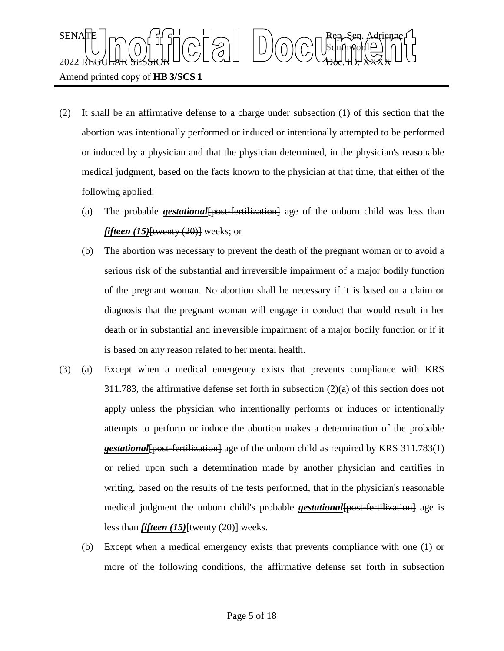## $\text{SENA}[\mathbb{E} | \mid_{\mathsf{T}} \frown \bigcap_{\mathsf{S}} \mathsf{G}] \frown \bigcup_{\mathsf{S}} \bigcap_{\mathsf{S}} \bigcap_{\mathsf{S}} \bigcap_{\mathsf{S}} \bigcap_{\mathsf{S}} \bigcap_{\mathsf{S}} \mathsf{G} \mathsf{G} \bigcap_{\mathsf{S}} \mathsf{G} \mathsf{G} \bigcap_{\mathsf{S}} \mathsf{G} \bigcap_{\mathsf{S}} \mathsf{G} \bigcap_{\mathsf{S}} \mathsf{G} \bigcap_{\mathsf{S}} \mathsf{G} \bigcap_{\mathsf{S}} \mathsf{G} \big$ Sbufhworth  $2022$  REGULAR SESSION DOLLOURED DO OBGLED. XXXX Amend printed copy of **HB 3/SCS 1**

- (2) It shall be an affirmative defense to a charge under subsection (1) of this section that the abortion was intentionally performed or induced or intentionally attempted to be performed or induced by a physician and that the physician determined, in the physician's reasonable medical judgment, based on the facts known to the physician at that time, that either of the following applied:
	- (a) The probable *gestational*[post-fertilization] age of the unborn child was less than *fifteen (15)*<del>[twenty (20)]</del> weeks; or
	- (b) The abortion was necessary to prevent the death of the pregnant woman or to avoid a serious risk of the substantial and irreversible impairment of a major bodily function of the pregnant woman. No abortion shall be necessary if it is based on a claim or diagnosis that the pregnant woman will engage in conduct that would result in her death or in substantial and irreversible impairment of a major bodily function or if it is based on any reason related to her mental health.
- (3) (a) Except when a medical emergency exists that prevents compliance with KRS 311.783, the affirmative defense set forth in subsection (2)(a) of this section does not apply unless the physician who intentionally performs or induces or intentionally attempts to perform or induce the abortion makes a determination of the probable *gestational*{bost-fertilization} age of the unborn child as required by KRS 311.783(1) or relied upon such a determination made by another physician and certifies in writing, based on the results of the tests performed, that in the physician's reasonable medical judgment the unborn child's probable *gestational* {post-fertilization} age is less than *fifteen (15)*[twenty (20)] weeks.
	- (b) Except when a medical emergency exists that prevents compliance with one (1) or more of the following conditions, the affirmative defense set forth in subsection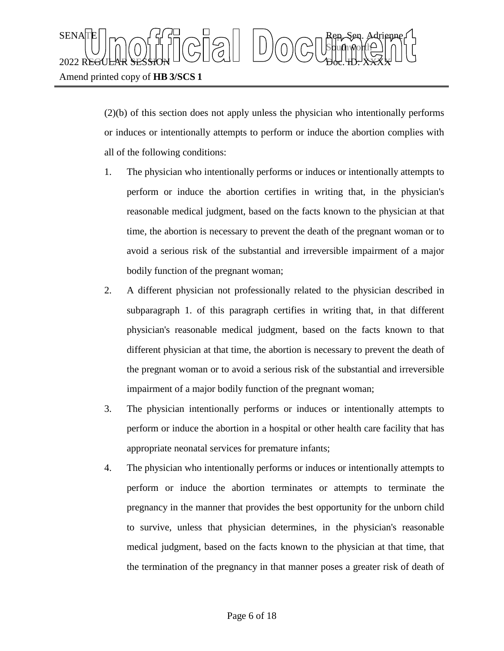(2)(b) of this section does not apply unless the physician who intentionally performs or induces or intentionally attempts to perform or induce the abortion complies with all of the following conditions:

- 1. The physician who intentionally performs or induces or intentionally attempts to perform or induce the abortion certifies in writing that, in the physician's reasonable medical judgment, based on the facts known to the physician at that time, the abortion is necessary to prevent the death of the pregnant woman or to avoid a serious risk of the substantial and irreversible impairment of a major bodily function of the pregnant woman;
- 2. A different physician not professionally related to the physician described in subparagraph 1. of this paragraph certifies in writing that, in that different physician's reasonable medical judgment, based on the facts known to that different physician at that time, the abortion is necessary to prevent the death of the pregnant woman or to avoid a serious risk of the substantial and irreversible impairment of a major bodily function of the pregnant woman;
- 3. The physician intentionally performs or induces or intentionally attempts to perform or induce the abortion in a hospital or other health care facility that has appropriate neonatal services for premature infants;
- 4. The physician who intentionally performs or induces or intentionally attempts to perform or induce the abortion terminates or attempts to terminate the pregnancy in the manner that provides the best opportunity for the unborn child to survive, unless that physician determines, in the physician's reasonable medical judgment, based on the facts known to the physician at that time, that the termination of the pregnancy in that manner poses a greater risk of death of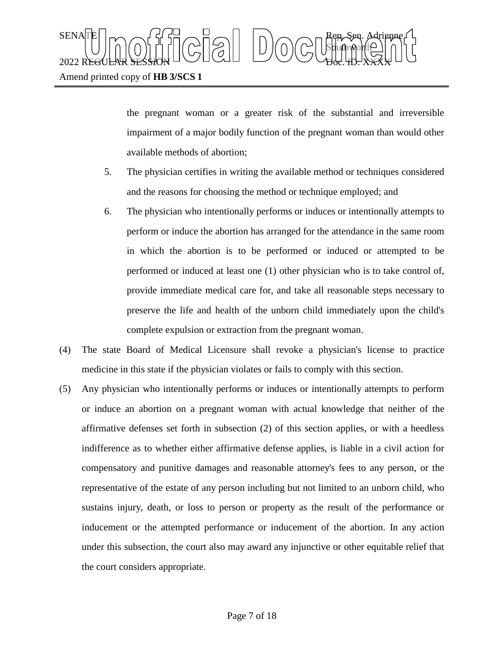the pregnant woman or a greater risk of the substantial and irreversible impairment of a major bodily function of the pregnant woman than would other available methods of abortion;

- 5. The physician certifies in writing the available method or techniques considered and the reasons for choosing the method or technique employed; and
- 6. The physician who intentionally performs or induces or intentionally attempts to perform or induce the abortion has arranged for the attendance in the same room in which the abortion is to be performed or induced or attempted to be performed or induced at least one (1) other physician who is to take control of, provide immediate medical care for, and take all reasonable steps necessary to preserve the life and health of the unborn child immediately upon the child's complete expulsion or extraction from the pregnant woman.
- (4) The state Board of Medical Licensure shall revoke a physician's license to practice medicine in this state if the physician violates or fails to comply with this section.
- (5) Any physician who intentionally performs or induces or intentionally attempts to perform or induce an abortion on a pregnant woman with actual knowledge that neither of the affirmative defenses set forth in subsection (2) of this section applies, or with a heedless indifference as to whether either affirmative defense applies, is liable in a civil action for compensatory and punitive damages and reasonable attorney's fees to any person, or the representative of the estate of any person including but not limited to an unborn child, who sustains injury, death, or loss to person or property as the result of the performance or inducement or the attempted performance or inducement of the abortion. In any action under this subsection, the court also may award any injunctive or other equitable relief that the court considers appropriate.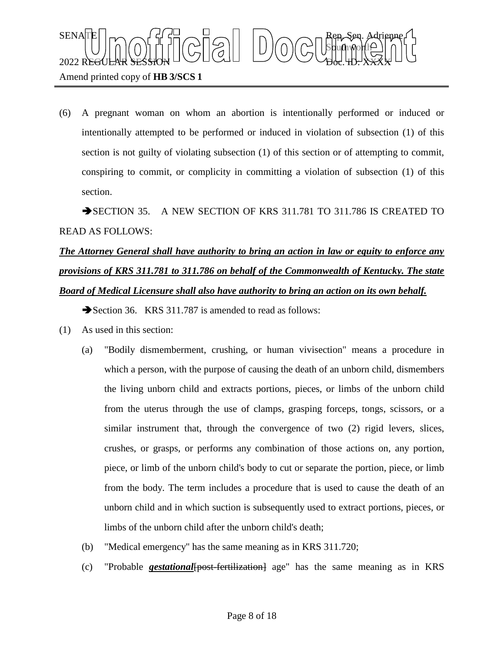

(6) A pregnant woman on whom an abortion is intentionally performed or induced or intentionally attempted to be performed or induced in violation of subsection (1) of this section is not guilty of violating subsection (1) of this section or of attempting to commit, conspiring to commit, or complicity in committing a violation of subsection (1) of this section.

SECTION 35. A NEW SECTION OF KRS 311.781 TO 311.786 IS CREATED TO READ AS FOLLOWS:

# *The Attorney General shall have authority to bring an action in law or equity to enforce any provisions of KRS 311.781 to 311.786 on behalf of the Commonwealth of Kentucky. The state Board of Medical Licensure shall also have authority to bring an action on its own behalf.*

Section 36. KRS 311.787 is amended to read as follows:

- (1) As used in this section:
	- (a) "Bodily dismemberment, crushing, or human vivisection" means a procedure in which a person, with the purpose of causing the death of an unborn child, dismembers the living unborn child and extracts portions, pieces, or limbs of the unborn child from the uterus through the use of clamps, grasping forceps, tongs, scissors, or a similar instrument that, through the convergence of two (2) rigid levers, slices, crushes, or grasps, or performs any combination of those actions on, any portion, piece, or limb of the unborn child's body to cut or separate the portion, piece, or limb from the body. The term includes a procedure that is used to cause the death of an unborn child and in which suction is subsequently used to extract portions, pieces, or limbs of the unborn child after the unborn child's death;
	- (b) "Medical emergency" has the same meaning as in KRS 311.720;
	- (c) "Probable *gestational*[post-fertilization] age" has the same meaning as in KRS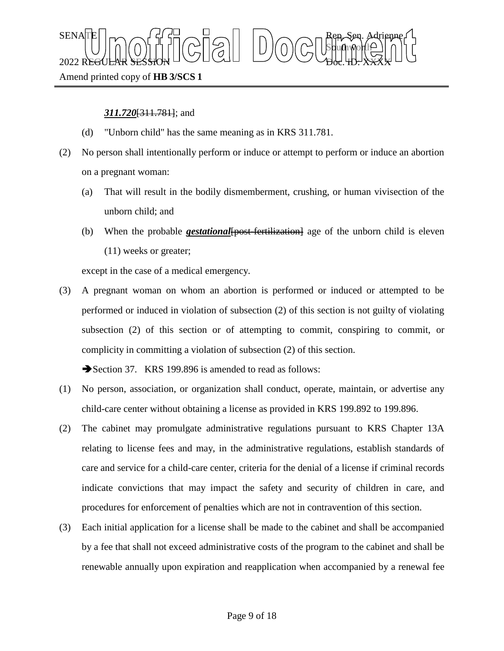$\text{SENA}[\mathbb{E} | \mid_{\mathsf{T}} \frown \bigcap_{\mathsf{S}} \mathsf{G}] \frown \bigcup_{\mathsf{S}} \bigcap_{\mathsf{S}} \bigcap_{\mathsf{S}} \bigcap_{\mathsf{S}} \bigcap_{\mathsf{S}} \bigcap_{\mathsf{S}} \mathsf{G} \mathsf{G} \bigcap_{\mathsf{S}} \mathsf{G} \mathsf{G} \bigcap_{\mathsf{S}} \mathsf{G} \bigcap_{\mathsf{S}} \mathsf{G} \bigcap_{\mathsf{S}} \mathsf{G} \bigcap_{\mathsf{S}} \mathsf{G} \bigcap_{\mathsf{S}} \mathsf{G} \big$ Sbufhworth  $2022$  REGULAR SESSION DOLLOURED DO OBGLED. XXXX

### Amend printed copy of **HB 3/SCS 1**

### *311.720*[311.781]; and

- (d) "Unborn child" has the same meaning as in KRS 311.781.
- (2) No person shall intentionally perform or induce or attempt to perform or induce an abortion on a pregnant woman:
	- (a) That will result in the bodily dismemberment, crushing, or human vivisection of the unborn child; and
	- (b) When the probable *gestational* {post-fertilization} age of the unborn child is eleven (11) weeks or greater;

except in the case of a medical emergency.

(3) A pregnant woman on whom an abortion is performed or induced or attempted to be performed or induced in violation of subsection (2) of this section is not guilty of violating subsection (2) of this section or of attempting to commit, conspiring to commit, or complicity in committing a violation of subsection (2) of this section.

Section 37. KRS 199.896 is amended to read as follows:

- (1) No person, association, or organization shall conduct, operate, maintain, or advertise any child-care center without obtaining a license as provided in KRS 199.892 to 199.896.
- (2) The cabinet may promulgate administrative regulations pursuant to KRS Chapter 13A relating to license fees and may, in the administrative regulations, establish standards of care and service for a child-care center, criteria for the denial of a license if criminal records indicate convictions that may impact the safety and security of children in care, and procedures for enforcement of penalties which are not in contravention of this section.
- (3) Each initial application for a license shall be made to the cabinet and shall be accompanied by a fee that shall not exceed administrative costs of the program to the cabinet and shall be renewable annually upon expiration and reapplication when accompanied by a renewal fee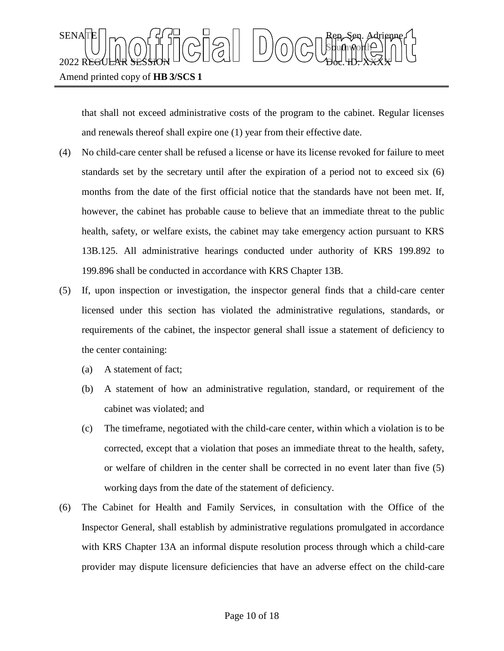

that shall not exceed administrative costs of the program to the cabinet. Regular licenses and renewals thereof shall expire one (1) year from their effective date.

- (4) No child-care center shall be refused a license or have its license revoked for failure to meet standards set by the secretary until after the expiration of a period not to exceed six (6) months from the date of the first official notice that the standards have not been met. If, however, the cabinet has probable cause to believe that an immediate threat to the public health, safety, or welfare exists, the cabinet may take emergency action pursuant to KRS 13B.125. All administrative hearings conducted under authority of KRS 199.892 to 199.896 shall be conducted in accordance with KRS Chapter 13B.
- (5) If, upon inspection or investigation, the inspector general finds that a child-care center licensed under this section has violated the administrative regulations, standards, or requirements of the cabinet, the inspector general shall issue a statement of deficiency to the center containing:
	- (a) A statement of fact;
	- (b) A statement of how an administrative regulation, standard, or requirement of the cabinet was violated; and
	- (c) The timeframe, negotiated with the child-care center, within which a violation is to be corrected, except that a violation that poses an immediate threat to the health, safety, or welfare of children in the center shall be corrected in no event later than five (5) working days from the date of the statement of deficiency.
- (6) The Cabinet for Health and Family Services, in consultation with the Office of the Inspector General, shall establish by administrative regulations promulgated in accordance with KRS Chapter 13A an informal dispute resolution process through which a child-care provider may dispute licensure deficiencies that have an adverse effect on the child-care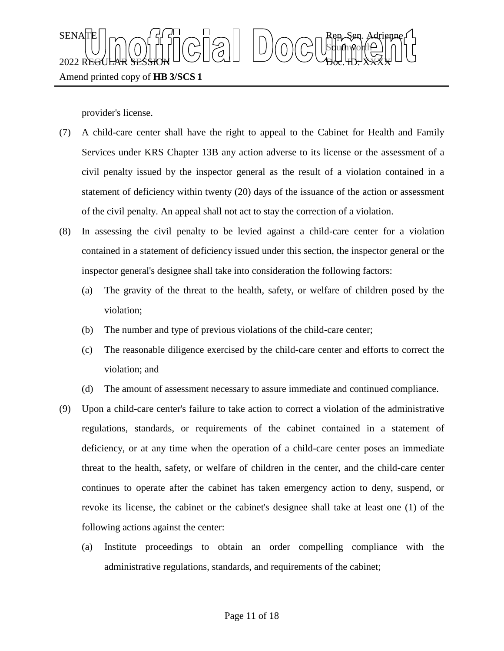

provider's license.

- (7) A child-care center shall have the right to appeal to the Cabinet for Health and Family Services under KRS Chapter 13B any action adverse to its license or the assessment of a civil penalty issued by the inspector general as the result of a violation contained in a statement of deficiency within twenty (20) days of the issuance of the action or assessment of the civil penalty. An appeal shall not act to stay the correction of a violation.
- (8) In assessing the civil penalty to be levied against a child-care center for a violation contained in a statement of deficiency issued under this section, the inspector general or the inspector general's designee shall take into consideration the following factors:
	- (a) The gravity of the threat to the health, safety, or welfare of children posed by the violation;
	- (b) The number and type of previous violations of the child-care center;
	- (c) The reasonable diligence exercised by the child-care center and efforts to correct the violation; and
	- (d) The amount of assessment necessary to assure immediate and continued compliance.
- (9) Upon a child-care center's failure to take action to correct a violation of the administrative regulations, standards, or requirements of the cabinet contained in a statement of deficiency, or at any time when the operation of a child-care center poses an immediate threat to the health, safety, or welfare of children in the center, and the child-care center continues to operate after the cabinet has taken emergency action to deny, suspend, or revoke its license, the cabinet or the cabinet's designee shall take at least one (1) of the following actions against the center:
	- (a) Institute proceedings to obtain an order compelling compliance with the administrative regulations, standards, and requirements of the cabinet;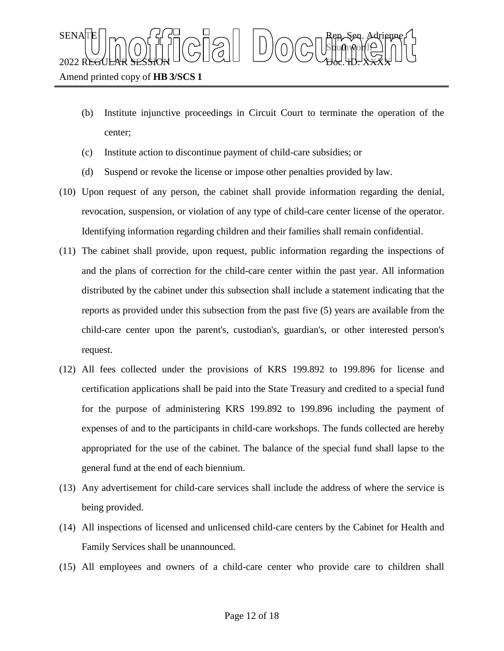- (b) Institute injunctive proceedings in Circuit Court to terminate the operation of the center;
- (c) Institute action to discontinue payment of child-care subsidies; or
- (d) Suspend or revoke the license or impose other penalties provided by law.
- (10) Upon request of any person, the cabinet shall provide information regarding the denial, revocation, suspension, or violation of any type of child-care center license of the operator. Identifying information regarding children and their families shall remain confidential.
- (11) The cabinet shall provide, upon request, public information regarding the inspections of and the plans of correction for the child-care center within the past year. All information distributed by the cabinet under this subsection shall include a statement indicating that the reports as provided under this subsection from the past five (5) years are available from the child-care center upon the parent's, custodian's, guardian's, or other interested person's request.
- (12) All fees collected under the provisions of KRS 199.892 to 199.896 for license and certification applications shall be paid into the State Treasury and credited to a special fund for the purpose of administering KRS 199.892 to 199.896 including the payment of expenses of and to the participants in child-care workshops. The funds collected are hereby appropriated for the use of the cabinet. The balance of the special fund shall lapse to the general fund at the end of each biennium.
- (13) Any advertisement for child-care services shall include the address of where the service is being provided.
- (14) All inspections of licensed and unlicensed child-care centers by the Cabinet for Health and Family Services shall be unannounced.
- (15) All employees and owners of a child-care center who provide care to children shall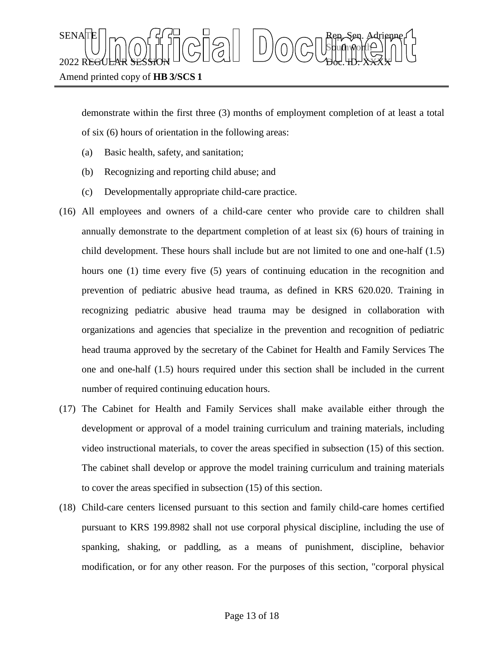

demonstrate within the first three (3) months of employment completion of at least a total of six (6) hours of orientation in the following areas:

- (a) Basic health, safety, and sanitation;
- (b) Recognizing and reporting child abuse; and
- (c) Developmentally appropriate child-care practice.
- (16) All employees and owners of a child-care center who provide care to children shall annually demonstrate to the department completion of at least six (6) hours of training in child development. These hours shall include but are not limited to one and one-half (1.5) hours one (1) time every five (5) years of continuing education in the recognition and prevention of pediatric abusive head trauma, as defined in KRS 620.020. Training in recognizing pediatric abusive head trauma may be designed in collaboration with organizations and agencies that specialize in the prevention and recognition of pediatric head trauma approved by the secretary of the Cabinet for Health and Family Services The one and one-half (1.5) hours required under this section shall be included in the current number of required continuing education hours.
- (17) The Cabinet for Health and Family Services shall make available either through the development or approval of a model training curriculum and training materials, including video instructional materials, to cover the areas specified in subsection (15) of this section. The cabinet shall develop or approve the model training curriculum and training materials to cover the areas specified in subsection (15) of this section.
- (18) Child-care centers licensed pursuant to this section and family child-care homes certified pursuant to KRS 199.8982 shall not use corporal physical discipline, including the use of spanking, shaking, or paddling, as a means of punishment, discipline, behavior modification, or for any other reason. For the purposes of this section, "corporal physical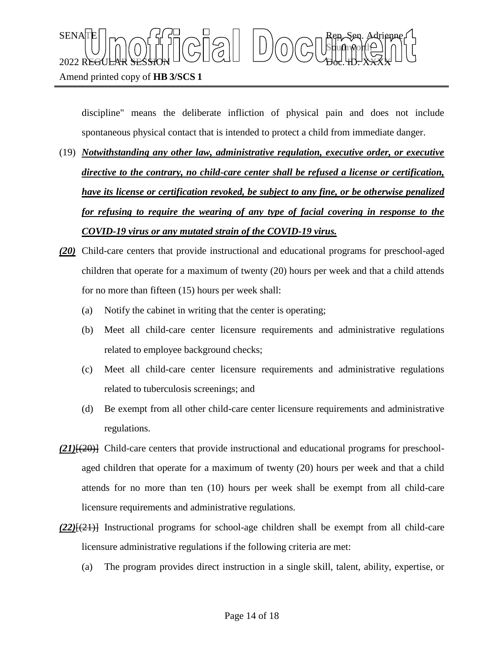

discipline" means the deliberate infliction of physical pain and does not include spontaneous physical contact that is intended to protect a child from immediate danger.

- (19) *Notwithstanding any other law, administrative regulation, executive order, or executive directive to the contrary, no child-care center shall be refused a license or certification, have its license or certification revoked, be subject to any fine, or be otherwise penalized for refusing to require the wearing of any type of facial covering in response to the COVID-19 virus or any mutated strain of the COVID-19 virus.*
- *(20)* Child-care centers that provide instructional and educational programs for preschool-aged children that operate for a maximum of twenty (20) hours per week and that a child attends for no more than fifteen (15) hours per week shall:
	- (a) Notify the cabinet in writing that the center is operating;
	- (b) Meet all child-care center licensure requirements and administrative regulations related to employee background checks;
	- (c) Meet all child-care center licensure requirements and administrative regulations related to tuberculosis screenings; and
	- (d) Be exempt from all other child-care center licensure requirements and administrative regulations.
- *(21)*[(20)] Child-care centers that provide instructional and educational programs for preschoolaged children that operate for a maximum of twenty (20) hours per week and that a child attends for no more than ten (10) hours per week shall be exempt from all child-care licensure requirements and administrative regulations.
- $(22)$ <del>[(21)]</del> Instructional programs for school-age children shall be exempt from all child-care licensure administrative regulations if the following criteria are met:
	- (a) The program provides direct instruction in a single skill, talent, ability, expertise, or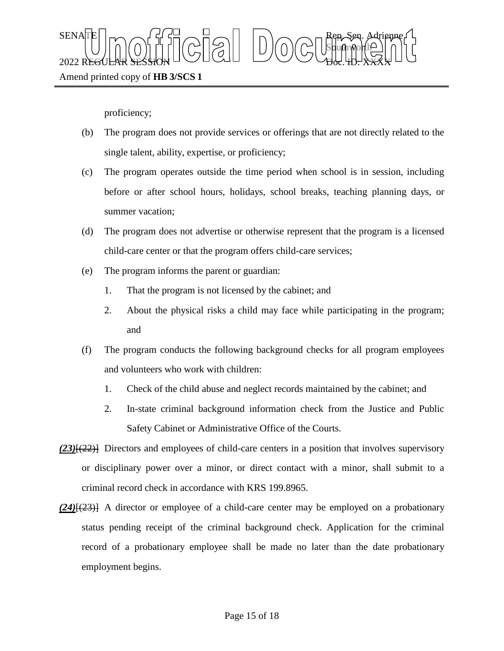

proficiency;

- (b) The program does not provide services or offerings that are not directly related to the single talent, ability, expertise, or proficiency;
- (c) The program operates outside the time period when school is in session, including before or after school hours, holidays, school breaks, teaching planning days, or summer vacation;
- (d) The program does not advertise or otherwise represent that the program is a licensed child-care center or that the program offers child-care services;
- (e) The program informs the parent or guardian:
	- 1. That the program is not licensed by the cabinet; and
	- 2. About the physical risks a child may face while participating in the program; and
- (f) The program conducts the following background checks for all program employees and volunteers who work with children:
	- 1. Check of the child abuse and neglect records maintained by the cabinet; and
	- 2. In-state criminal background information check from the Justice and Public Safety Cabinet or Administrative Office of the Courts.
- *(23)*[(22)] Directors and employees of child-care centers in a position that involves supervisory or disciplinary power over a minor, or direct contact with a minor, shall submit to a criminal record check in accordance with KRS 199.8965.
- *(24)*[(23)] A director or employee of a child-care center may be employed on a probationary status pending receipt of the criminal background check. Application for the criminal record of a probationary employee shall be made no later than the date probationary employment begins.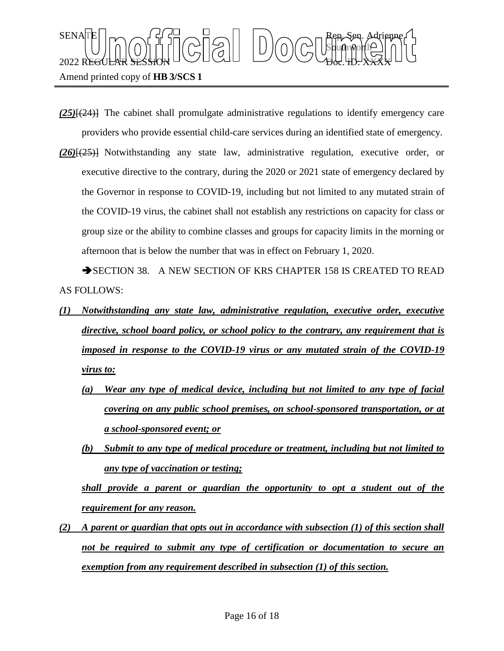

Amend printed copy of **HB 3/SCS 1**

- *(25)*[(24)] The cabinet shall promulgate administrative regulations to identify emergency care providers who provide essential child-care services during an identified state of emergency.
- *(26)*[(25)] Notwithstanding any state law, administrative regulation, executive order, or executive directive to the contrary, during the 2020 or 2021 state of emergency declared by the Governor in response to COVID-19, including but not limited to any mutated strain of the COVID-19 virus, the cabinet shall not establish any restrictions on capacity for class or group size or the ability to combine classes and groups for capacity limits in the morning or afternoon that is below the number that was in effect on February 1, 2020.

SECTION 38. A NEW SECTION OF KRS CHAPTER 158 IS CREATED TO READ AS FOLLOWS:

- *(1) Notwithstanding any state law, administrative regulation, executive order, executive directive, school board policy, or school policy to the contrary, any requirement that is imposed in response to the COVID-19 virus or any mutated strain of the COVID-19 virus to:*
	- *(a) Wear any type of medical device, including but not limited to any type of facial covering on any public school premises, on school-sponsored transportation, or at a school-sponsored event; or*
	- *(b) Submit to any type of medical procedure or treatment, including but not limited to any type of vaccination or testing;*

*shall provide a parent or guardian the opportunity to opt a student out of the requirement for any reason.*

*(2) A parent or guardian that opts out in accordance with subsection (1) of this section shall not be required to submit any type of certification or documentation to secure an exemption from any requirement described in subsection (1) of this section.*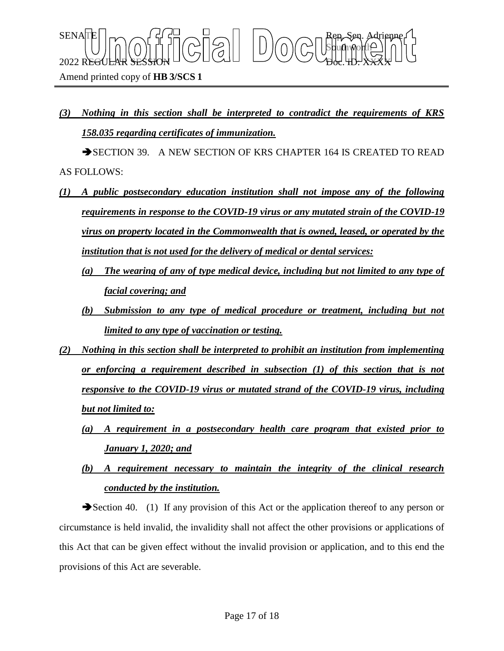*(3) Nothing in this section shall be interpreted to contradict the requirements of KRS 158.035 regarding certificates of immunization.*

Sbufhworth

 $\text{SENA}[\mathbb{E} | \mid_{\mathsf{T}} \frown \bigcap_{\mathsf{S}} \mathsf{G}] \frown \bigcup_{\mathsf{S}} \bigcap_{\mathsf{S}} \bigcap_{\mathsf{S}} \bigcap_{\mathsf{S}} \bigcap_{\mathsf{S}} \bigcap_{\mathsf{S}} \mathsf{G} \mathsf{G} \bigcap_{\mathsf{S}} \mathsf{G} \mathsf{G} \bigcap_{\mathsf{S}} \mathsf{G} \bigcap_{\mathsf{S}} \mathsf{G} \bigcap_{\mathsf{S}} \mathsf{G} \bigcap_{\mathsf{S}} \mathsf{G} \bigcap_{\mathsf{S}} \mathsf{G} \big$ 

 $2022$  REGULAR SESSION DOLLOURED DO OBGLED. XXXX

SECTION 39. A NEW SECTION OF KRS CHAPTER 164 IS CREATED TO READ AS FOLLOWS:

- *(1) A public postsecondary education institution shall not impose any of the following requirements in response to the COVID-19 virus or any mutated strain of the COVID-19 virus on property located in the Commonwealth that is owned, leased, or operated by the institution that is not used for the delivery of medical or dental services:*
	- *(a) The wearing of any of type medical device, including but not limited to any type of facial covering; and*
	- *(b) Submission to any type of medical procedure or treatment, including but not limited to any type of vaccination or testing.*
- *(2) Nothing in this section shall be interpreted to prohibit an institution from implementing or enforcing a requirement described in subsection (1) of this section that is not responsive to the COVID-19 virus or mutated strand of the COVID-19 virus, including but not limited to:*
	- *(a) A requirement in a postsecondary health care program that existed prior to January 1, 2020; and*
	- *(b) A requirement necessary to maintain the integrity of the clinical research conducted by the institution.*

Section 40. (1) If any provision of this Act or the application thereof to any person or circumstance is held invalid, the invalidity shall not affect the other provisions or applications of this Act that can be given effect without the invalid provision or application, and to this end the provisions of this Act are severable.